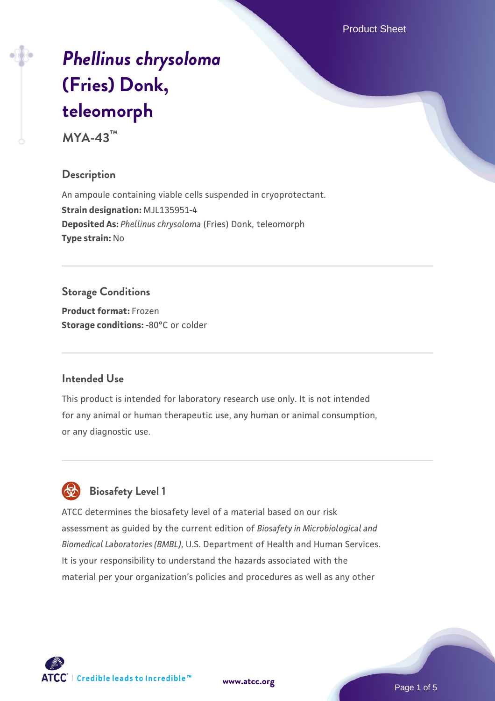Product Sheet

# *[Phellinus chrysoloma](https://www.atcc.org/products/mya-43)* **[\(Fries\) Donk,](https://www.atcc.org/products/mya-43) [teleomorph](https://www.atcc.org/products/mya-43)**

**MYA-43™**

#### **Description**

An ampoule containing viable cells suspended in cryoprotectant. **Strain designation:** MJL135951-4 **Deposited As:** *Phellinus chrysoloma* (Fries) Donk, teleomorph **Type strain:** No

# **Storage Conditions**

**Product format:** Frozen **Storage conditions: -80°C** or colder

# **Intended Use**

This product is intended for laboratory research use only. It is not intended for any animal or human therapeutic use, any human or animal consumption, or any diagnostic use.



# **Biosafety Level 1**

ATCC determines the biosafety level of a material based on our risk assessment as guided by the current edition of *Biosafety in Microbiological and Biomedical Laboratories (BMBL)*, U.S. Department of Health and Human Services. It is your responsibility to understand the hazards associated with the material per your organization's policies and procedures as well as any other

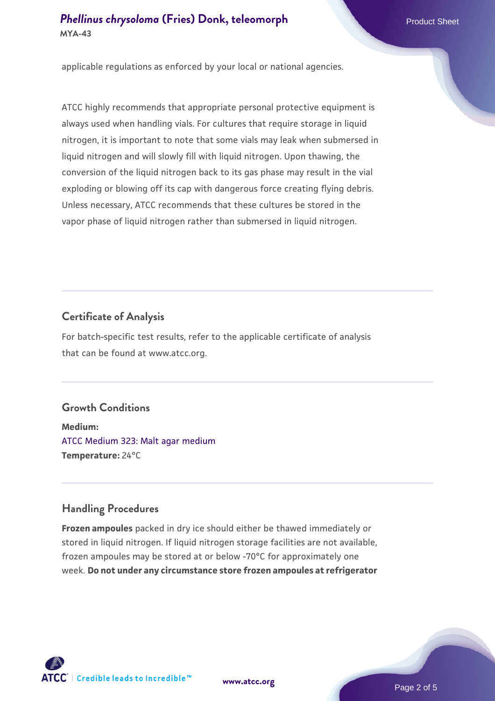applicable regulations as enforced by your local or national agencies.

ATCC highly recommends that appropriate personal protective equipment is always used when handling vials. For cultures that require storage in liquid nitrogen, it is important to note that some vials may leak when submersed in liquid nitrogen and will slowly fill with liquid nitrogen. Upon thawing, the conversion of the liquid nitrogen back to its gas phase may result in the vial exploding or blowing off its cap with dangerous force creating flying debris. Unless necessary, ATCC recommends that these cultures be stored in the vapor phase of liquid nitrogen rather than submersed in liquid nitrogen.

# **Certificate of Analysis**

For batch-specific test results, refer to the applicable certificate of analysis that can be found at www.atcc.org.

# **Growth Conditions**

**Medium:**  [ATCC Medium 323: Malt agar medium](https://www.atcc.org/-/media/product-assets/documents/microbial-media-formulations/3/2/3/atcc-medium-323.pdf?rev=58d6457ee20149d7a1c844947569ef92) **Temperature:** 24°C

# **Handling Procedures**

**Frozen ampoules** packed in dry ice should either be thawed immediately or stored in liquid nitrogen. If liquid nitrogen storage facilities are not available, frozen ampoules may be stored at or below -70°C for approximately one week. **Do not under any circumstance store frozen ampoules at refrigerator**

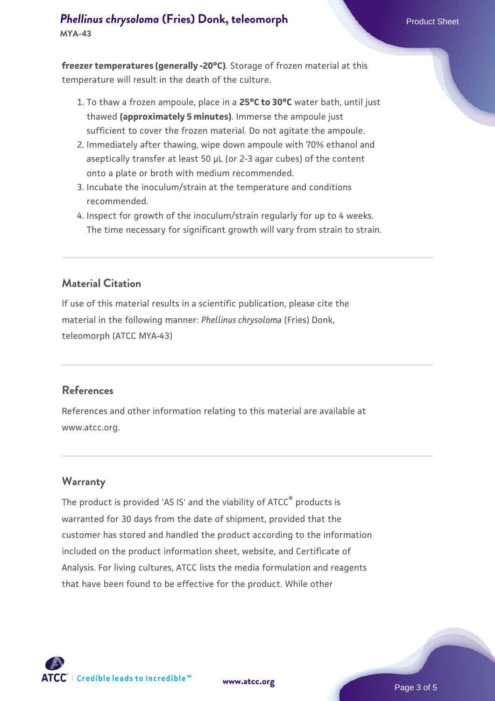**freezer temperatures (generally -20°C)**. Storage of frozen material at this temperature will result in the death of the culture.

- 1. To thaw a frozen ampoule, place in a **25°C to 30°C** water bath, until just thawed **(approximately 5 minutes)**. Immerse the ampoule just sufficient to cover the frozen material. Do not agitate the ampoule.
- 2. Immediately after thawing, wipe down ampoule with 70% ethanol and aseptically transfer at least 50 µL (or 2-3 agar cubes) of the content onto a plate or broth with medium recommended.
- 3. Incubate the inoculum/strain at the temperature and conditions recommended.
- 4. Inspect for growth of the inoculum/strain regularly for up to 4 weeks. The time necessary for significant growth will vary from strain to strain.

#### **Material Citation**

If use of this material results in a scientific publication, please cite the material in the following manner: *Phellinus chrysoloma* (Fries) Donk, teleomorph (ATCC MYA-43)

#### **References**

References and other information relating to this material are available at www.atcc.org.

#### **Warranty**

The product is provided 'AS IS' and the viability of ATCC<sup>®</sup> products is warranted for 30 days from the date of shipment, provided that the customer has stored and handled the product according to the information included on the product information sheet, website, and Certificate of Analysis. For living cultures, ATCC lists the media formulation and reagents that have been found to be effective for the product. While other



**[www.atcc.org](http://www.atcc.org)**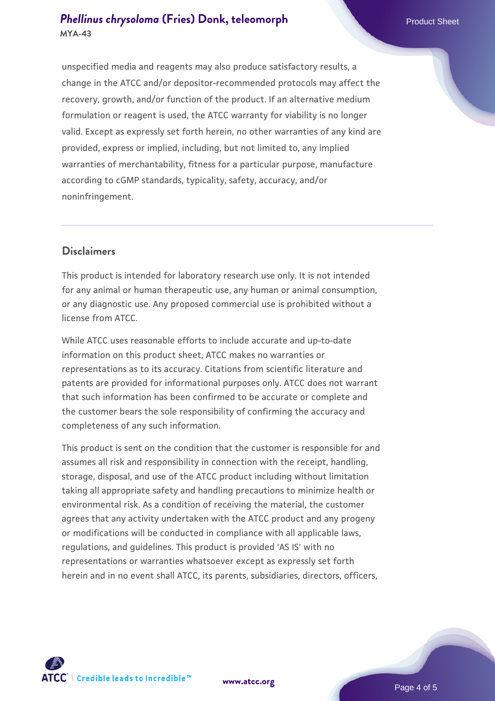unspecified media and reagents may also produce satisfactory results, a change in the ATCC and/or depositor-recommended protocols may affect the recovery, growth, and/or function of the product. If an alternative medium formulation or reagent is used, the ATCC warranty for viability is no longer valid. Except as expressly set forth herein, no other warranties of any kind are provided, express or implied, including, but not limited to, any implied warranties of merchantability, fitness for a particular purpose, manufacture according to cGMP standards, typicality, safety, accuracy, and/or noninfringement.

#### **Disclaimers**

This product is intended for laboratory research use only. It is not intended for any animal or human therapeutic use, any human or animal consumption, or any diagnostic use. Any proposed commercial use is prohibited without a license from ATCC.

While ATCC uses reasonable efforts to include accurate and up-to-date information on this product sheet, ATCC makes no warranties or representations as to its accuracy. Citations from scientific literature and patents are provided for informational purposes only. ATCC does not warrant that such information has been confirmed to be accurate or complete and the customer bears the sole responsibility of confirming the accuracy and completeness of any such information.

This product is sent on the condition that the customer is responsible for and assumes all risk and responsibility in connection with the receipt, handling, storage, disposal, and use of the ATCC product including without limitation taking all appropriate safety and handling precautions to minimize health or environmental risk. As a condition of receiving the material, the customer agrees that any activity undertaken with the ATCC product and any progeny or modifications will be conducted in compliance with all applicable laws, regulations, and guidelines. This product is provided 'AS IS' with no representations or warranties whatsoever except as expressly set forth herein and in no event shall ATCC, its parents, subsidiaries, directors, officers,



**[www.atcc.org](http://www.atcc.org)**

Page 4 of 5